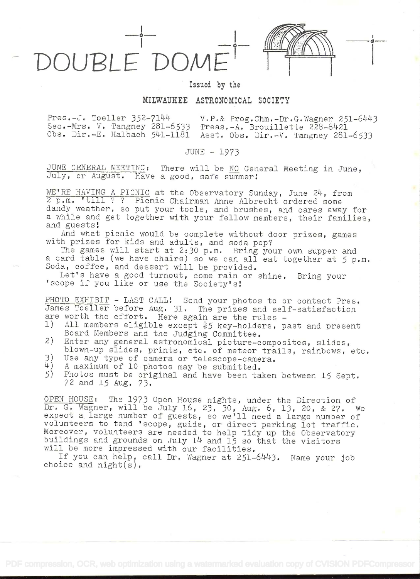Issued by the

OUBLE DON

## MILWAUKEE ASTRONOMICAL SOCIETY

 $Pres.-J.$  Toeller  $352-7144$  V.P.& Prog.Chm.-Dr.G.Wagner 251-6443 Seo,-Mrs. V. Tangney 281-6533 Treas,-A. Brouillette 228-8421 Obs. Dir.-E. Halbach 541-1181 Asst. Obs. Dir.-V. Tangney 281-6533

## JUNE - 1973

JUNE GENERAL MEETING: There will be NO General Meeting in June, July, or August. Have a good, safe summer!

WE'RE HAVING A PICNIC at the Observatory Sunday, June 24, from <sup>2</sup>p.m. 'till ? ? Picnic Chairman Anne Albrecht ordered some dandy weather, so put your tools, and brushes, and cares away for a while and get together with your fellow members, their families, and guests!

And what picnic would be complete without door prizes, games with prizes for kids and adults, and soda pop?

The games will start at 2:30 p.m. Bring your own supper and a card table (we have chairs) so we can all eat together at 5 p.m. Soda, coffee, and dessert will be provided.

Let's have a good turnout, come rain or shine. Bring your 'scope if you like or use the Society's

PHOTO EXHIBIT - LAST CALL! Send your photos to or contact Pres. James Toeller before Aug. 31. The prizes and self-satisfaction are worth the effort. Here again are the rules -<br>1) All members eligible except \$5 key-holders, pa

- All members eligible except \$5 key-holders, past and present Board Members and the Judging Committee.
- 2) Enter any general astronomical picture-composites, slides, blown-up slides, prints, etc. of meteor trails, rainbows, etc.
- 3) Use any type of camera or telescope-camera.<br> $\frac{1}{4}$ ) A maximum of 10 photos may be submitted
- 4) A maximum of 10 photos may be submitted.<br>5) Photos must be original and have been ta
- Photos must be original and have been taken between 15 Sept. 72 and 15 Aug. 73.

OPEN HOUSE: The 1973 Open House nights, under the Direction of Dr. G. Wagner, will be July 16, 23, 30, Aug. 6, 13, 20, & 27. We expect a large number of guests, so we'll need a large number of volunteers to tend 'scope, guide, or direct parking lot traffic. Moreover, volunteers are needed to help tidy up the Observatory buildings and grounds on July 14 and 15 so that the visitors will be more impressed with our facilities.

If you can help, call Dr. Wagner at 251-6443. Name your job choice and night(s).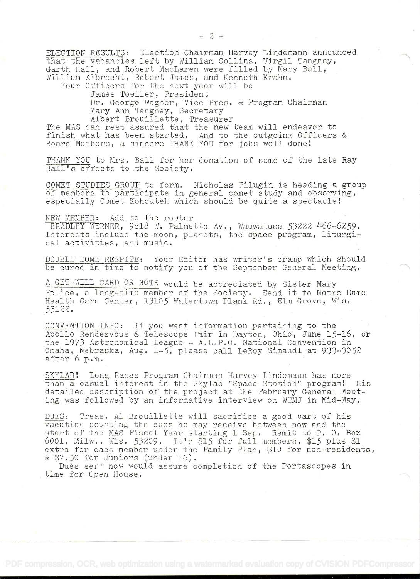ELECTION RESULTS: Election Chairman Harvey Lindemann announced that the vacancies left by William Collins, Virgil Tangney, Garth Hall, and Robert MacLaren were filled by Mary Ball, William Albrecht, Robert James, and Kenneth Krahn.

Your Officers for the next year will be

James Toeller, President

Dr. George Wagner, Vice Pres. & Program Chairman Mary Ann Tangney, Secretary

Albert Brouillette, Treasurer

The MAS can rest assured that the new team will endeavor to finish what has been started. And to the outgoing Officers & Board Members, a sincere THANK YOU for jobs well done!

THANK YOU to Mrs. Ball for her donation of some of the late Ray Ball's effects to the Society,

COMET STUDIES GROUP to form. Nicholas Pilugin is heading a group of members to participate in general comet study and observing, especially Comet Kohoutek which should be quite a spectacle!

Add to the roster NEW MEMBER:

BRADLEY WERNER, 9818 W. Palmetto Av., Wauwatosa 53222 466-6259. Interests include the moon, planets, the space program, liturgical activities, and music.

DOUBLE DOME RESPITE: Your Editor has writer's cramp which should be cured in time to notify you of the September General Meeting.

A GET-WELL CARD OR NOTE would be appreciated by Sister Mary Felice, a long-time member of the Society. Send it to Notre Dame Health Care Center, 13105 Watertown Plank Rd., Elm Grove, Wis. 53122.

CONVENTION INFO: If you want information pertaining to the Apollo Rendezvous &. Telescope Fair in Dayton, Ohio, June 15-16, or the 1973 Astronomical League - A,L.P.O. National Convention in Omaha, Nebraska, Aug. 1-5, please call LeRoy Simandl at 933-3052 after 6 p.m.

SKYLAB! Long Range Program Chairman Harvey Lindemann has more than a casual interest in the Skylab "Space Station" program! His detailed description of the project at the February General Meeting was followed by an informative interview on WTMJ in Mid-May.

DUES: Treas. Al Brouillette will sacrifice a good part of his vacation counting the dues he may receive between now and the start of the MAS Fiscal Year starting 1 Sep. Remit to P. O. Box 6001, Milw., Wis. 53209. It's \$15 for full members, \$15 plus \$1 extra for each member under the Family Plan, \$10 for non-residents, &  $$7.50$  for Juniors (under  $16$ ).

Dues ser now would assure completion of the Portascopes in time for Open House.